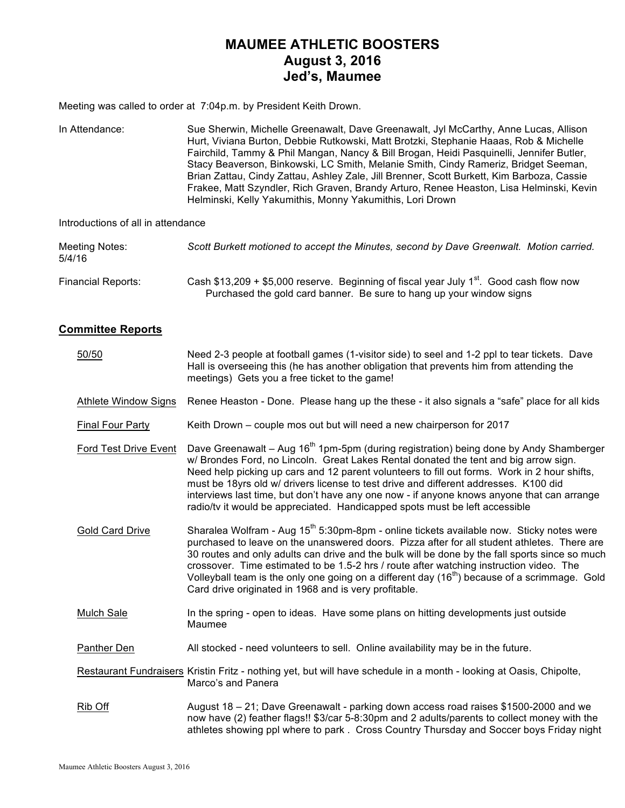# **MAUMEE ATHLETIC BOOSTERS August 3, 2016 Jed's, Maumee**

Meeting was called to order at 7:04p.m. by President Keith Drown.

In Attendance: Sue Sherwin, Michelle Greenawalt, Dave Greenawalt, Jyl McCarthy, Anne Lucas, Allison Hurt, Viviana Burton, Debbie Rutkowski, Matt Brotzki, Stephanie Haaas, Rob & Michelle Fairchild, Tammy & Phil Mangan, Nancy & Bill Brogan, Heidi Pasquinelli, Jennifer Butler, Stacy Beaverson, Binkowski, LC Smith, Melanie Smith, Cindy Rameriz, Bridget Seeman, Brian Zattau, Cindy Zattau, Ashley Zale, Jill Brenner, Scott Burkett, Kim Barboza, Cassie Frakee, Matt Szyndler, Rich Graven, Brandy Arturo, Renee Heaston, Lisa Helminski, Kevin Helminski, Kelly Yakumithis, Monny Yakumithis, Lori Drown

Introductions of all in attendance

| Meeting Notes:<br>5/4/16 | Scott Burkett motioned to accept the Minutes, second by Dave Greenwalt. Motion carried.                                                                              |
|--------------------------|----------------------------------------------------------------------------------------------------------------------------------------------------------------------|
| Financial Reports:       | Cash \$13,209 + \$5,000 reserve. Beginning of fiscal year July $1^{st}$ . Good cash flow now<br>Purchased the gold card banner. Be sure to hang up your window signs |

## **Committee Reports**

| 50/50                       | Need 2-3 people at football games (1-visitor side) to seel and 1-2 ppl to tear tickets. Dave<br>Hall is overseeing this (he has another obligation that prevents him from attending the<br>meetings) Gets you a free ticket to the game!                                                                                                                                                                                                                                                                                                                               |
|-----------------------------|------------------------------------------------------------------------------------------------------------------------------------------------------------------------------------------------------------------------------------------------------------------------------------------------------------------------------------------------------------------------------------------------------------------------------------------------------------------------------------------------------------------------------------------------------------------------|
| <b>Athlete Window Signs</b> | Renee Heaston - Done. Please hang up the these - it also signals a "safe" place for all kids                                                                                                                                                                                                                                                                                                                                                                                                                                                                           |
| <b>Final Four Party</b>     | Keith Drown – couple mos out but will need a new chairperson for 2017                                                                                                                                                                                                                                                                                                                                                                                                                                                                                                  |
| Ford Test Drive Event       | Dave Greenawalt - Aug 16 <sup>th</sup> 1pm-5pm (during registration) being done by Andy Shamberger<br>w/ Brondes Ford, no Lincoln. Great Lakes Rental donated the tent and big arrow sign.<br>Need help picking up cars and 12 parent volunteers to fill out forms. Work in 2 hour shifts,<br>must be 18yrs old w/ drivers license to test drive and different addresses. K100 did<br>interviews last time, but don't have any one now - if anyone knows anyone that can arrange<br>radio/tv it would be appreciated. Handicapped spots must be left accessible        |
| <b>Gold Card Drive</b>      | Sharalea Wolfram - Aug 15 <sup>th</sup> 5:30pm-8pm - online tickets available now. Sticky notes were<br>purchased to leave on the unanswered doors. Pizza after for all student athletes. There are<br>30 routes and only adults can drive and the bulk will be done by the fall sports since so much<br>crossover. Time estimated to be 1.5-2 hrs / route after watching instruction video. The<br>Volleyball team is the only one going on a different day (16 <sup>th</sup> ) because of a scrimmage. Gold<br>Card drive originated in 1968 and is very profitable. |
| <b>Mulch Sale</b>           | In the spring - open to ideas. Have some plans on hitting developments just outside<br>Maumee                                                                                                                                                                                                                                                                                                                                                                                                                                                                          |
| Panther Den                 | All stocked - need volunteers to sell. Online availability may be in the future.                                                                                                                                                                                                                                                                                                                                                                                                                                                                                       |
|                             | Restaurant Fundraisers Kristin Fritz - nothing yet, but will have schedule in a month - looking at Oasis, Chipolte,<br>Marco's and Panera                                                                                                                                                                                                                                                                                                                                                                                                                              |
| Rib Off                     | August 18 – 21; Dave Greenawalt - parking down access road raises \$1500-2000 and we<br>now have (2) feather flags!! \$3/car 5-8:30pm and 2 adults/parents to collect money with the<br>athletes showing ppl where to park. Cross Country Thursday and Soccer boys Friday night                                                                                                                                                                                                                                                                                        |